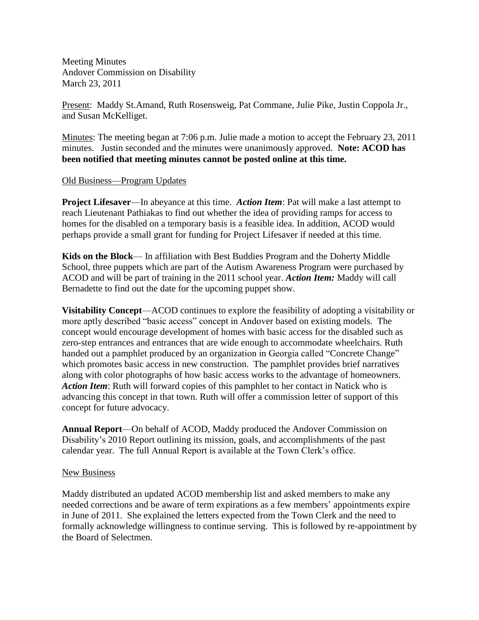Meeting Minutes Andover Commission on Disability March 23, 2011

Present: Maddy St.Amand, Ruth Rosensweig, Pat Commane, Julie Pike, Justin Coppola Jr., and Susan McKelliget.

Minutes: The meeting began at 7:06 p.m. Julie made a motion to accept the February 23, 2011 minutes. Justin seconded and the minutes were unanimously approved. **Note: ACOD has been notified that meeting minutes cannot be posted online at this time.**

### Old Business—Program Updates

**Project Lifesaver**—In abeyance at this time. *Action Item*: Pat will make a last attempt to reach Lieutenant Pathiakas to find out whether the idea of providing ramps for access to homes for the disabled on a temporary basis is a feasible idea. In addition, ACOD would perhaps provide a small grant for funding for Project Lifesaver if needed at this time.

**Kids on the Block**— In affiliation with Best Buddies Program and the Doherty Middle School, three puppets which are part of the Autism Awareness Program were purchased by ACOD and will be part of training in the 2011 school year. *Action Item:* Maddy will call Bernadette to find out the date for the upcoming puppet show.

**Visitability Concept**—ACOD continues to explore the feasibility of adopting a visitability or more aptly described "basic access" concept in Andover based on existing models. The concept would encourage development of homes with basic access for the disabled such as zero-step entrances and entrances that are wide enough to accommodate wheelchairs. Ruth handed out a pamphlet produced by an organization in Georgia called "Concrete Change" which promotes basic access in new construction. The pamphlet provides brief narratives along with color photographs of how basic access works to the advantage of homeowners. *Action Item*: Ruth will forward copies of this pamphlet to her contact in Natick who is advancing this concept in that town. Ruth will offer a commission letter of support of this concept for future advocacy.

**Annual Report**—On behalf of ACOD, Maddy produced the Andover Commission on Disability's 2010 Report outlining its mission, goals, and accomplishments of the past calendar year. The full Annual Report is available at the Town Clerk's office.

### New Business

Maddy distributed an updated ACOD membership list and asked members to make any needed corrections and be aware of term expirations as a few members' appointments expire in June of 2011. She explained the letters expected from the Town Clerk and the need to formally acknowledge willingness to continue serving. This is followed by re-appointment by the Board of Selectmen.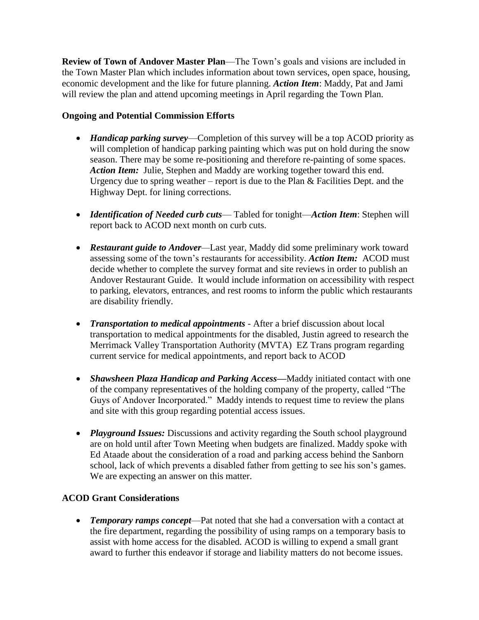**Review of Town of Andover Master Plan**—The Town's goals and visions are included in the Town Master Plan which includes information about town services, open space, housing, economic development and the like for future planning. *Action Item*: Maddy, Pat and Jami will review the plan and attend upcoming meetings in April regarding the Town Plan.

## **Ongoing and Potential Commission Efforts**

- *Handicap parking survey*—Completion of this survey will be a top ACOD priority as will completion of handicap parking painting which was put on hold during the snow season. There may be some re-positioning and therefore re-painting of some spaces. *Action Item:* Julie, Stephen and Maddy are working together toward this end. Urgency due to spring weather – report is due to the Plan & Facilities Dept. and the Highway Dept. for lining corrections.
- *Identification of Needed curb cuts* Tabled for tonight—*Action Item*: Stephen will report back to ACOD next month on curb cuts.
- *Restaurant guide to Andover—*Last year*,* Maddy did some preliminary work toward assessing some of the town's restaurants for accessibility. *Action Item:* ACOD must decide whether to complete the survey format and site reviews in order to publish an Andover Restaurant Guide. It would include information on accessibility with respect to parking, elevators, entrances, and rest rooms to inform the public which restaurants are disability friendly.
- *Transportation to medical appointments* After a brief discussion about local transportation to medical appointments for the disabled, Justin agreed to research the Merrimack Valley Transportation Authority (MVTA) EZ Trans program regarding current service for medical appointments, and report back to ACOD
- *Shawsheen Plaza Handicap and Parking Access—*Maddy initiated contact with one of the company representatives of the holding company of the property, called "The Guys of Andover Incorporated." Maddy intends to request time to review the plans and site with this group regarding potential access issues.
- *Playground Issues:* Discussions and activity regarding the South school playground are on hold until after Town Meeting when budgets are finalized. Maddy spoke with Ed Ataade about the consideration of a road and parking access behind the Sanborn school, lack of which prevents a disabled father from getting to see his son's games. We are expecting an answer on this matter.

# **ACOD Grant Considerations**

 *Temporary ramps concept*—Pat noted that she had a conversation with a contact at the fire department, regarding the possibility of using ramps on a temporary basis to assist with home access for the disabled. ACOD is willing to expend a small grant award to further this endeavor if storage and liability matters do not become issues.